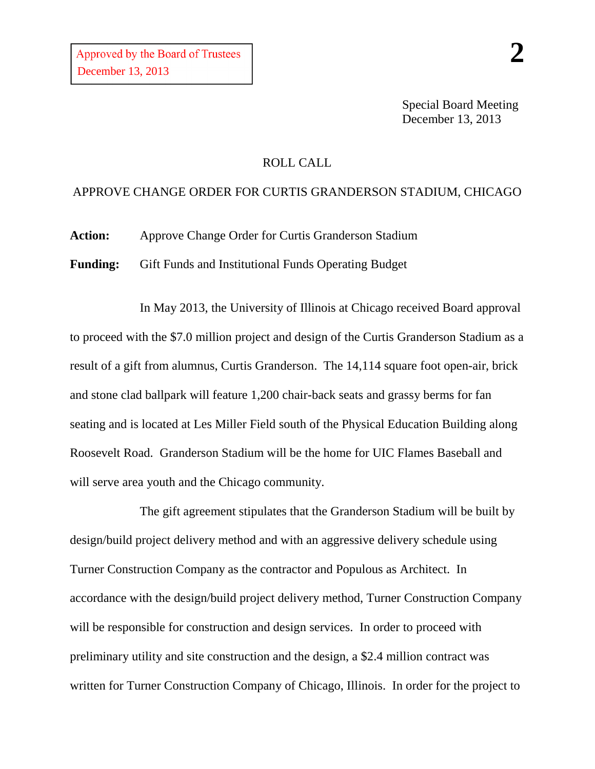Special Board Meeting December 13, 2013

## ROLL CALL

## APPROVE CHANGE ORDER FOR CURTIS GRANDERSON STADIUM, CHICAGO

**Action:** Approve Change Order for Curtis Granderson Stadium

**Funding:** Gift Funds and Institutional Funds Operating Budget

In May 2013, the University of Illinois at Chicago received Board approval to proceed with the \$7.0 million project and design of the Curtis Granderson Stadium as a result of a gift from alumnus, Curtis Granderson. The 14,114 square foot open-air, brick and stone clad ballpark will feature 1,200 chair-back seats and grassy berms for fan seating and is located at Les Miller Field south of the Physical Education Building along Roosevelt Road. Granderson Stadium will be the home for UIC Flames Baseball and will serve area youth and the Chicago community.

The gift agreement stipulates that the Granderson Stadium will be built by design/build project delivery method and with an aggressive delivery schedule using Turner Construction Company as the contractor and Populous as Architect. In accordance with the design/build project delivery method, Turner Construction Company will be responsible for construction and design services. In order to proceed with preliminary utility and site construction and the design, a \$2.4 million contract was written for Turner Construction Company of Chicago, Illinois. In order for the project to